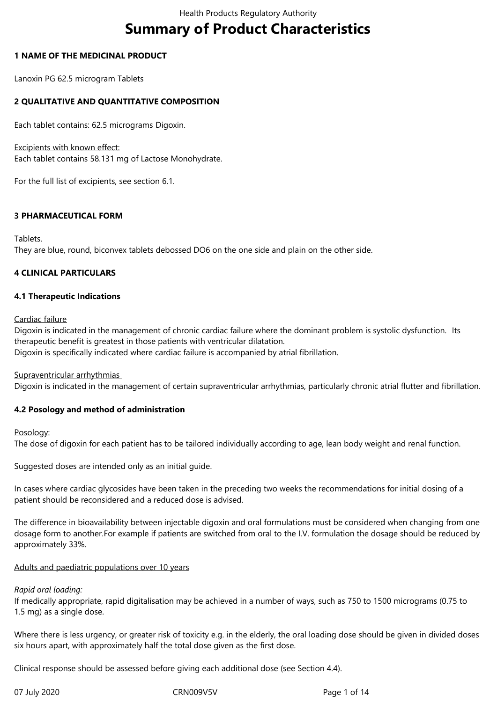# **Summary of Product Characteristics**

## **1 NAME OF THE MEDICINAL PRODUCT**

Lanoxin PG 62.5 microgram Tablets

## **2 QUALITATIVE AND QUANTITATIVE COMPOSITION**

Each tablet contains: 62.5 micrograms Digoxin.

Excipients with known effect:

Each tablet contains 58.131 mg of Lactose Monohydrate.

For the full list of excipients, see section 6.1.

## **3 PHARMACEUTICAL FORM**

Tablets.

They are blue, round, biconvex tablets debossed DO6 on the one side and plain on the other side.

## **4 CLINICAL PARTICULARS**

## **4.1 Therapeutic Indications**

Cardiac failure

Digoxin is indicated in the management of chronic cardiac failure where the dominant problem is systolic dysfunction. Its therapeutic benefit is greatest in those patients with ventricular dilatation. Digoxin is specifically indicated where cardiac failure is accompanied by atrial fibrillation.

Supraventricular arrhythmias

Digoxin is indicated in the management of certain supraventricular arrhythmias, particularly chronic atrial flutter and fibrillation.

## **4.2 Posology and method of administration**

Posology:

The dose of digoxin for each patient has to be tailored individually according to age, lean body weight and renal function.

Suggested doses are intended only as an initial guide.

In cases where cardiac glycosides have been taken in the preceding two weeks the recommendations for initial dosing of a patient should be reconsidered and a reduced dose is advised.

The difference in bioavailability between injectable digoxin and oral formulations must be considered when changing from one dosage form to another.For example if patients are switched from oral to the I.V. formulation the dosage should be reduced by approximately 33%.

#### Adults and paediatric populations over 10 years

## *Rapid oral loading:*

If medically appropriate, rapid digitalisation may be achieved in a number of ways, such as 750 to 1500 micrograms (0.75 to 1.5 mg) as a single dose.

Where there is less urgency, or greater risk of toxicity e.g. in the elderly, the oral loading dose should be given in divided doses six hours apart, with approximately half the total dose given as the first dose.

Clinical response should be assessed before giving each additional dose (see Section 4.4).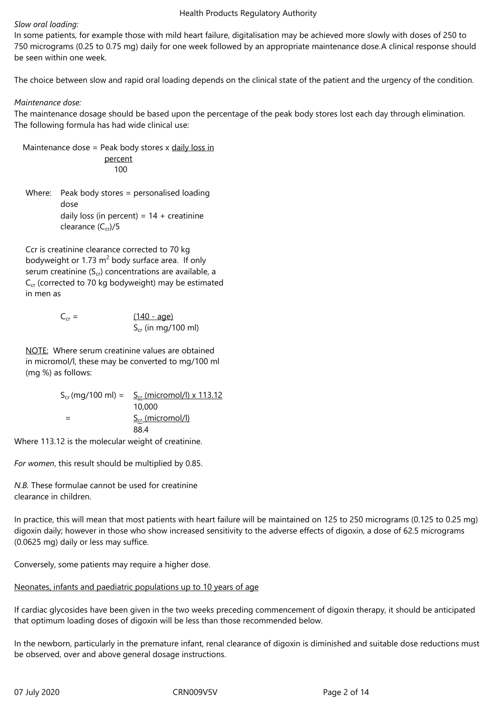#### *Slow oral loading:*

In some patients, for example those with mild heart failure, digitalisation may be achieved more slowly with doses of 250 to 750 micrograms (0.25 to 0.75 mg) daily for one week followed by an appropriate maintenance dose.A clinical response should be seen within one week.

The choice between slow and rapid oral loading depends on the clinical state of the patient and the urgency of the condition.

## *Maintenance dose:*

The maintenance dosage should be based upon the percentage of the peak body stores lost each day through elimination. The following formula has had wide clinical use:

Maintenance dose = Peak body stores x daily loss in percent 100

Where: Peak body stores = personalised loading dose daily loss (in percent) =  $14 +$  creatinine clearance  $(C_{cr})/5$ 

Ccr is creatinine clearance corrected to 70 kg bodyweight or 1.73  $m^2$  body surface area. If only serum creatinine  $(S_{cr})$  concentrations are available, a  $C_{cr}$  (corrected to 70 kg bodyweight) may be estimated in men as

> $C_{cr} = (140 - aqe)$  $S_{cr}$  (in mg/100 ml)

NOTE: Where serum creatinine values are obtained in micromol/l, these may be converted to mg/100 ml (mg %) as follows:

> $S_{cr}$  (mg/100 ml) =  $S_{cr}$  (micromol/l) x 113.12 10,000 S<sub>cr</sub> (micromol/l) 88.4

Where 113.12 is the molecular weight of creatinine.

*For women*, this result should be multiplied by 0.85.

*N.B.* These formulae cannot be used for creatinine clearance in children.

In practice, this will mean that most patients with heart failure will be maintained on 125 to 250 micrograms (0.125 to 0.25 mg) digoxin daily; however in those who show increased sensitivity to the adverse effects of digoxin, a dose of 62.5 micrograms (0.0625 mg) daily or less may suffice.

Conversely, some patients may require a higher dose.

## Neonates, infants and paediatric populations up to 10 years of age

If cardiac glycosides have been given in the two weeks preceding commencement of digoxin therapy, it should be anticipated that optimum loading doses of digoxin will be less than those recommended below.

In the newborn, particularly in the premature infant, renal clearance of digoxin is diminished and suitable dose reductions must be observed, over and above general dosage instructions.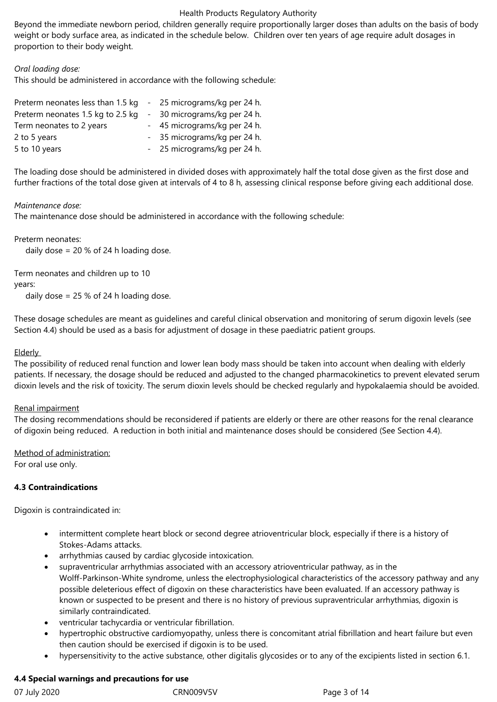Beyond the immediate newborn period, children generally require proportionally larger doses than adults on the basis of body weight or body surface area, as indicated in the schedule below. Children over ten years of age require adult dosages in proportion to their body weight.

## *Oral loading dose:*

This should be administered in accordance with the following schedule:

| Preterm neonates less than 1.5 kg | - 25 micrograms/kg per 24 h. |
|-----------------------------------|------------------------------|
| Preterm neonates 1.5 kg to 2.5 kg | 30 micrograms/kg per 24 h.   |
| Term neonates to 2 years          | - 45 micrograms/kg per 24 h. |
| 2 to 5 years                      | - 35 micrograms/kg per 24 h. |
| 5 to 10 years                     | - 25 micrograms/kg per 24 h. |

The loading dose should be administered in divided doses with approximately half the total dose given as the first dose and further fractions of the total dose given at intervals of 4 to 8 h, assessing clinical response before giving each additional dose.

## *Maintenance dose:*

The maintenance dose should be administered in accordance with the following schedule:

Preterm neonates:

daily dose  $= 20 %$  of 24 h loading dose.

Term neonates and children up to 10

years:

daily dose = 25 % of 24 h loading dose.

These dosage schedules are meant as guidelines and careful clinical observation and monitoring of serum digoxin levels (see Section 4.4) should be used as a basis for adjustment of dosage in these paediatric patient groups.

#### **Elderly**

The possibility of reduced renal function and lower lean body mass should be taken into account when dealing with elderly patients. If necessary, the dosage should be reduced and adjusted to the changed pharmacokinetics to prevent elevated serum dioxin levels and the risk of toxicity. The serum dioxin levels should be checked regularly and hypokalaemia should be avoided.

## Renal impairment

The dosing recommendations should be reconsidered if patients are elderly or there are other reasons for the renal clearance of digoxin being reduced. A reduction in both initial and maintenance doses should be considered (See Section 4.4).

Method of administration:

For oral use only.

## **4.3 Contraindications**

Digoxin is contraindicated in:

- intermittent complete heart block or second degree atrioventricular block, especially if there is a history of Stokes-Adams attacks.
- arrhythmias caused by cardiac glycoside intoxication.
- supraventricular arrhythmias associated with an accessory atrioventricular pathway, as in the Wolff-Parkinson-White syndrome, unless the electrophysiological characteristics of the accessory pathway and any possible deleterious effect of digoxin on these characteristics have been evaluated. If an accessory pathway is known or suspected to be present and there is no history of previous supraventricular arrhythmias, digoxin is similarly contraindicated.
- ventricular tachycardia or ventricular fibrillation.
- hypertrophic obstructive cardiomyopathy, unless there is concomitant atrial fibrillation and heart failure but even then caution should be exercised if digoxin is to be used.
- hypersensitivity to the active substance, other digitalis glycosides or to any of the excipients listed in section 6.1.

## **4.4 Special warnings and precautions for use**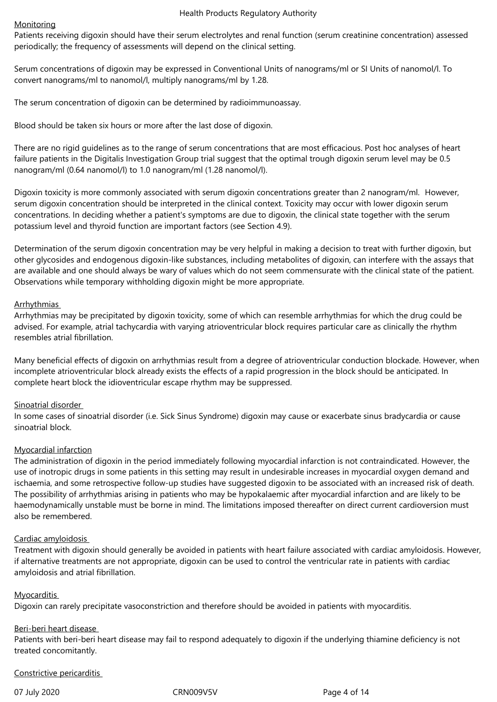#### Monitoring

Patients receiving digoxin should have their serum electrolytes and renal function (serum creatinine concentration) assessed periodically; the frequency of assessments will depend on the clinical setting.

Serum concentrations of digoxin may be expressed in Conventional Units of nanograms/ml or SI Units of nanomol/l. To convert nanograms/ml to nanomol/l, multiply nanograms/ml by 1.28.

The serum concentration of digoxin can be determined by radioimmunoassay.

Blood should be taken six hours or more after the last dose of digoxin.

There are no rigid guidelines as to the range of serum concentrations that are most efficacious. Post hoc analyses of heart failure patients in the Digitalis Investigation Group trial suggest that the optimal trough digoxin serum level may be 0.5 nanogram/ml (0.64 nanomol/l) to 1.0 nanogram/ml (1.28 nanomol/l).

Digoxin toxicity is more commonly associated with serum digoxin concentrations greater than 2 nanogram/ml. However, serum digoxin concentration should be interpreted in the clinical context. Toxicity may occur with lower digoxin serum concentrations. In deciding whether a patient's symptoms are due to digoxin, the clinical state together with the serum potassium level and thyroid function are important factors (see Section 4.9).

Determination of the serum digoxin concentration may be very helpful in making a decision to treat with further digoxin, but other glycosides and endogenous digoxin-like substances, including metabolites of digoxin, can interfere with the assays that are available and one should always be wary of values which do not seem commensurate with the clinical state of the patient. Observations while temporary withholding digoxin might be more appropriate.

#### Arrhythmias

Arrhythmias may be precipitated by digoxin toxicity, some of which can resemble arrhythmias for which the drug could be advised. For example, atrial tachycardia with varying atrioventricular block requires particular care as clinically the rhythm resembles atrial fibrillation.

Many beneficial effects of digoxin on arrhythmias result from a degree of atrioventricular conduction blockade. However, when incomplete atrioventricular block already exists the effects of a rapid progression in the block should be anticipated. In complete heart block the idioventricular escape rhythm may be suppressed.

#### Sinoatrial disorder

In some cases of sinoatrial disorder (i.e. Sick Sinus Syndrome) digoxin may cause or exacerbate sinus bradycardia or cause sinoatrial block.

#### Myocardial infarction

The administration of digoxin in the period immediately following myocardial infarction is not contraindicated. However, the use of inotropic drugs in some patients in this setting may result in undesirable increases in myocardial oxygen demand and ischaemia, and some retrospective follow-up studies have suggested digoxin to be associated with an increased risk of death. The possibility of arrhythmias arising in patients who may be hypokalaemic after myocardial infarction and are likely to be haemodynamically unstable must be borne in mind. The limitations imposed thereafter on direct current cardioversion must also be remembered.

#### Cardiac amyloidosis

Treatment with digoxin should generally be avoided in patients with heart failure associated with cardiac amyloidosis. However, if alternative treatments are not appropriate, digoxin can be used to control the ventricular rate in patients with cardiac amyloidosis and atrial fibrillation.

#### Myocarditis

Digoxin can rarely precipitate vasoconstriction and therefore should be avoided in patients with myocarditis.

#### Beri-beri heart disease

Patients with beri-beri heart disease may fail to respond adequately to digoxin if the underlying thiamine deficiency is not treated concomitantly.

#### Constrictive pericarditis

07 July 2020 **CRN009V5V** CRN009V5V Page 4 of 14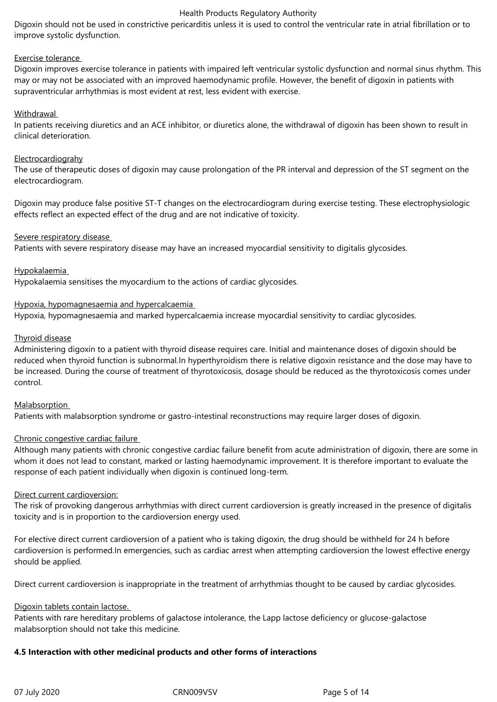Digoxin should not be used in constrictive pericarditis unless it is used to control the ventricular rate in atrial fibrillation or to improve systolic dysfunction.

#### Exercise tolerance

Digoxin improves exercise tolerance in patients with impaired left ventricular systolic dysfunction and normal sinus rhythm. This may or may not be associated with an improved haemodynamic profile. However, the benefit of digoxin in patients with supraventricular arrhythmias is most evident at rest, less evident with exercise.

## Withdrawal

In patients receiving diuretics and an ACE inhibitor, or diuretics alone, the withdrawal of digoxin has been shown to result in clinical deterioration.

#### **Electrocardiograhy**

The use of therapeutic doses of digoxin may cause prolongation of the PR interval and depression of the ST segment on the electrocardiogram.

Digoxin may produce false positive ST-T changes on the electrocardiogram during exercise testing. These electrophysiologic effects reflect an expected effect of the drug and are not indicative of toxicity.

## Severe respiratory disease

Patients with severe respiratory disease may have an increased myocardial sensitivity to digitalis glycosides.

## Hypokalaemia

Hypokalaemia sensitises the myocardium to the actions of cardiac glycosides.

## Hypoxia, hypomagnesaemia and hypercalcaemia

Hypoxia, hypomagnesaemia and marked hypercalcaemia increase myocardial sensitivity to cardiac glycosides.

## Thyroid disease

Administering digoxin to a patient with thyroid disease requires care. Initial and maintenance doses of digoxin should be reduced when thyroid function is subnormal.In hyperthyroidism there is relative digoxin resistance and the dose may have to be increased. During the course of treatment of thyrotoxicosis, dosage should be reduced as the thyrotoxicosis comes under control.

## **Malabsorption**

Patients with malabsorption syndrome or gastro-intestinal reconstructions may require larger doses of digoxin.

## Chronic congestive cardiac failure

Although many patients with chronic congestive cardiac failure benefit from acute administration of digoxin, there are some in whom it does not lead to constant, marked or lasting haemodynamic improvement. It is therefore important to evaluate the response of each patient individually when digoxin is continued long-term.

#### Direct current cardioversion:

The risk of provoking dangerous arrhythmias with direct current cardioversion is greatly increased in the presence of digitalis toxicity and is in proportion to the cardioversion energy used.

For elective direct current cardioversion of a patient who is taking digoxin, the drug should be withheld for 24 h before cardioversion is performed.In emergencies, such as cardiac arrest when attempting cardioversion the lowest effective energy should be applied.

Direct current cardioversion is inappropriate in the treatment of arrhythmias thought to be caused by cardiac glycosides.

#### Digoxin tablets contain lactose.

Patients with rare hereditary problems of galactose intolerance, the Lapp lactose deficiency or glucose-galactose malabsorption should not take this medicine.

## **4.5 Interaction with other medicinal products and other forms of interactions**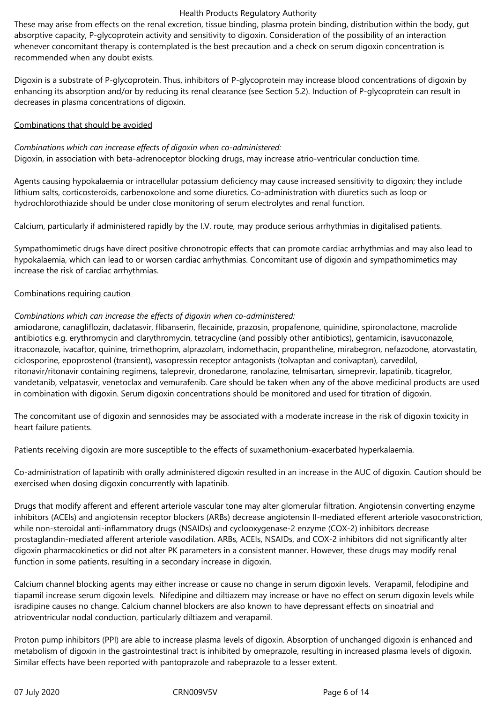These may arise from effects on the renal excretion, tissue binding, plasma protein binding, distribution within the body, gut absorptive capacity, P-glycoprotein activity and sensitivity to digoxin. Consideration of the possibility of an interaction whenever concomitant therapy is contemplated is the best precaution and a check on serum digoxin concentration is recommended when any doubt exists.

Digoxin is a substrate of P-glycoprotein. Thus, inhibitors of P-glycoprotein may increase blood concentrations of digoxin by enhancing its absorption and/or by reducing its renal clearance (see Section 5.2). Induction of P-glycoprotein can result in decreases in plasma concentrations of digoxin.

#### Combinations that should be avoided

*Combinations which can increase effects of digoxin when co-administered:* Digoxin, in association with beta-adrenoceptor blocking drugs, may increase atrio-ventricular conduction time.

Agents causing hypokalaemia or intracellular potassium deficiency may cause increased sensitivity to digoxin; they include lithium salts, corticosteroids, carbenoxolone and some diuretics. Co-administration with diuretics such as loop or hydrochlorothiazide should be under close monitoring of serum electrolytes and renal function.

Calcium, particularly if administered rapidly by the I.V. route, may produce serious arrhythmias in digitalised patients.

Sympathomimetic drugs have direct positive chronotropic effects that can promote cardiac arrhythmias and may also lead to hypokalaemia, which can lead to or worsen cardiac arrhythmias. Concomitant use of digoxin and sympathomimetics may increase the risk of cardiac arrhythmias.

## Combinations requiring caution

## *Combinations which can increase the effects of digoxin when co-administered:*

amiodarone, canagliflozin, daclatasvir, flibanserin, flecainide, prazosin, propafenone, quinidine, spironolactone, macrolide antibiotics e.g. erythromycin and clarythromycin, tetracycline (and possibly other antibiotics), gentamicin, isavuconazole, itraconazole, ivacaftor, quinine, trimethoprim, alprazolam, indomethacin, propantheline, mirabegron, nefazodone, atorvastatin, ciclosporine, epoprostenol (transient), vasopressin receptor antagonists (tolvaptan and conivaptan), carvedilol, ritonavir/ritonavir containing regimens, taleprevir, dronedarone, ranolazine, telmisartan, simeprevir, lapatinib, ticagrelor, vandetanib, velpatasvir, venetoclax and vemurafenib. Care should be taken when any of the above medicinal products are used in combination with digoxin. Serum digoxin concentrations should be monitored and used for titration of digoxin.

The concomitant use of digoxin and sennosides may be associated with a moderate increase in the risk of digoxin toxicity in heart failure patients.

Patients receiving digoxin are more susceptible to the effects of suxamethonium-exacerbated hyperkalaemia.

Co-administration of lapatinib with orally administered digoxin resulted in an increase in the AUC of digoxin. Caution should be exercised when dosing digoxin concurrently with lapatinib.

Drugs that modify afferent and efferent arteriole vascular tone may alter glomerular filtration. Angiotensin converting enzyme inhibitors (ACEIs) and angiotensin receptor blockers (ARBs) decrease angiotensin II-mediated efferent arteriole vasoconstriction, while non-steroidal anti-inflammatory drugs (NSAIDs) and cyclooxygenase-2 enzyme (COX-2) inhibitors decrease prostaglandin-mediated afferent arteriole vasodilation. ARBs, ACEIs, NSAIDs, and COX-2 inhibitors did not significantly alter digoxin pharmacokinetics or did not alter PK parameters in a consistent manner. However, these drugs may modify renal function in some patients, resulting in a secondary increase in digoxin.

Calcium channel blocking agents may either increase or cause no change in serum digoxin levels. Verapamil, felodipine and tiapamil increase serum digoxin levels. Nifedipine and diltiazem may increase or have no effect on serum digoxin levels while isradipine causes no change. Calcium channel blockers are also known to have depressant effects on sinoatrial and atrioventricular nodal conduction, particularly diltiazem and verapamil.

Proton pump inhibitors (PPI) are able to increase plasma levels of digoxin. Absorption of unchanged digoxin is enhanced and metabolism of digoxin in the gastrointestinal tract is inhibited by omeprazole, resulting in increased plasma levels of digoxin. Similar effects have been reported with pantoprazole and rabeprazole to a lesser extent.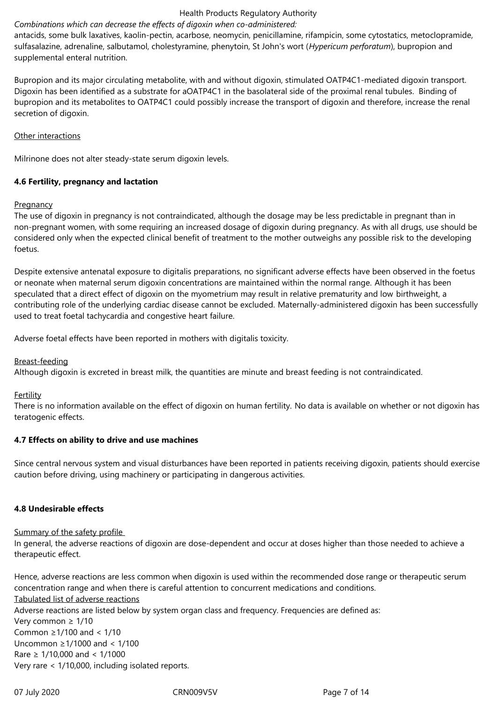## *Combinations which can decrease the effects of digoxin when co-administered:*

antacids, some bulk laxatives, kaolin-pectin, acarbose, neomycin, penicillamine, rifampicin, some cytostatics, metoclopramide, sulfasalazine, adrenaline, salbutamol, cholestyramine, phenytoin, St John's wort (*Hypericum perforatum*), bupropion and supplemental enteral nutrition.

Bupropion and its major circulating metabolite, with and without digoxin, stimulated OATP4C1-mediated digoxin transport. Digoxin has been identified as a substrate for aOATP4C1 in the basolateral side of the proximal renal tubules. Binding of bupropion and its metabolites to OATP4C1 could possibly increase the transport of digoxin and therefore, increase the renal secretion of digoxin.

#### Other interactions

Milrinone does not alter steady-state serum digoxin levels.

## **4.6 Fertility, pregnancy and lactation**

## **Pregnancy**

The use of digoxin in pregnancy is not contraindicated, although the dosage may be less predictable in pregnant than in non-pregnant women, with some requiring an increased dosage of digoxin during pregnancy. As with all drugs, use should be considered only when the expected clinical benefit of treatment to the mother outweighs any possible risk to the developing foetus.

Despite extensive antenatal exposure to digitalis preparations, no significant adverse effects have been observed in the foetus or neonate when maternal serum digoxin concentrations are maintained within the normal range. Although it has been speculated that a direct effect of digoxin on the myometrium may result in relative prematurity and low birthweight, a contributing role of the underlying cardiac disease cannot be excluded. Maternally-administered digoxin has been successfully used to treat foetal tachycardia and congestive heart failure.

Adverse foetal effects have been reported in mothers with digitalis toxicity.

#### Breast-feeding

Although digoxin is excreted in breast milk, the quantities are minute and breast feeding is not contraindicated.

#### Fertility

There is no information available on the effect of digoxin on human fertility. No data is available on whether or not digoxin has teratogenic effects.

## **4.7 Effects on ability to drive and use machines**

Since central nervous system and visual disturbances have been reported in patients receiving digoxin, patients should exercise caution before driving, using machinery or participating in dangerous activities.

#### **4.8 Undesirable effects**

#### Summary of the safety profile

In general, the adverse reactions of digoxin are dose-dependent and occur at doses higher than those needed to achieve a therapeutic effect.

Hence, adverse reactions are less common when digoxin is used within the recommended dose range or therapeutic serum concentration range and when there is careful attention to concurrent medications and conditions. Tabulated list of adverse reactions Adverse reactions are listed below by system organ class and frequency. Frequencies are defined as: Very common ≥ 1/10 Common ≥1/100 and < 1/10 Uncommon ≥1/1000 and < 1/100 Rare ≥ 1/10,000 and < 1/1000 Very rare < 1/10,000, including isolated reports.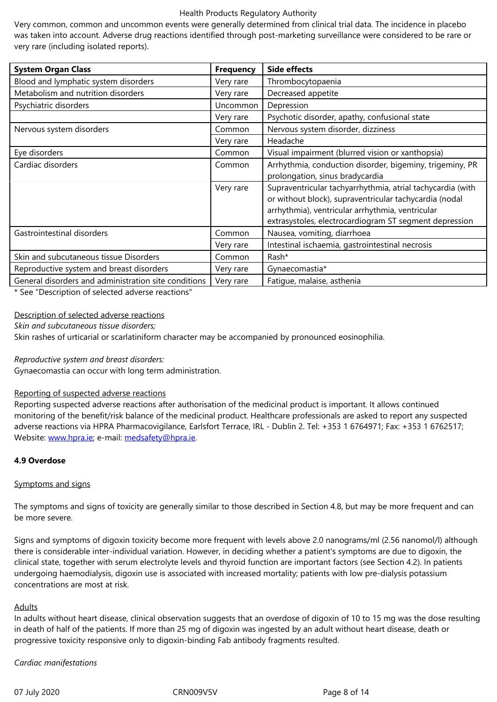very rare (including isolated reports).

| <b>System Organ Class</b>                            | <b>Frequency</b> | <b>Side effects</b>                                        |
|------------------------------------------------------|------------------|------------------------------------------------------------|
| Blood and lymphatic system disorders                 | Very rare        | Thrombocytopaenia                                          |
| Metabolism and nutrition disorders                   | Very rare        | Decreased appetite                                         |
| Psychiatric disorders                                | Uncommon         | Depression                                                 |
|                                                      | Very rare        | Psychotic disorder, apathy, confusional state              |
| Nervous system disorders                             | Common           | Nervous system disorder, dizziness                         |
|                                                      | Very rare        | Headache                                                   |
| Eye disorders                                        | Common           | Visual impairment (blurred vision or xanthopsia)           |
| Cardiac disorders                                    | Common           | Arrhythmia, conduction disorder, bigeminy, trigeminy, PR   |
|                                                      |                  | prolongation, sinus bradycardia                            |
|                                                      | Very rare        | Supraventricular tachyarrhythmia, atrial tachycardia (with |
|                                                      |                  | or without block), supraventricular tachycardia (nodal     |
|                                                      |                  | arrhythmia), ventricular arrhythmia, ventricular           |
|                                                      |                  | extrasystoles, electrocardiogram ST segment depression     |
| Gastrointestinal disorders                           | Common           | Nausea, vomiting, diarrhoea                                |
|                                                      | Very rare        | Intestinal ischaemia, gastrointestinal necrosis            |
| Skin and subcutaneous tissue Disorders               | Common           | Rash*                                                      |
| Reproductive system and breast disorders             | Very rare        | Gynaecomastia*                                             |
| General disorders and administration site conditions | Very rare        | Fatigue, malaise, asthenia                                 |

\* See "Description of selected adverse reactions"

#### Description of selected adverse reactions

*Skin and subcutaneous tissue disorders;*

Skin rashes of urticarial or scarlatiniform character may be accompanied by pronounced eosinophilia.

*Reproductive system and breast disorders:*

Gynaecomastia can occur with long term administration.

#### Reporting of suspected adverse reactions

Reporting suspected adverse reactions after authorisation of the medicinal product is important. It allows continued monitoring of the benefit/risk balance of the medicinal product. Healthcare professionals are asked to report any suspected adverse reactions via HPRA Pharmacovigilance, Earlsfort Terrace, IRL - Dublin 2. Tel: +353 1 6764971; Fax: +353 1 6762517; Website: www.hpra.ie; e-mail: medsafety@hpra.ie.

#### **4.9 Overdose**

#### Sympto[ms and signs](http://www.hpra.ie/)

The symptoms and signs of toxicity are generally similar to those described in Section 4.8, but may be more frequent and can be more severe.

Signs and symptoms of digoxin toxicity become more frequent with levels above 2.0 nanograms/ml (2.56 nanomol/l) although there is considerable inter-individual variation. However, in deciding whether a patient's symptoms are due to digoxin, the clinical state, together with serum electrolyte levels and thyroid function are important factors (see Section 4.2). In patients undergoing haemodialysis, digoxin use is associated with increased mortality; patients with low pre-dialysis potassium concentrations are most at risk.

#### **Adults**

In adults without heart disease, clinical observation suggests that an overdose of digoxin of 10 to 15 mg was the dose resulting in death of half of the patients. If more than 25 mg of digoxin was ingested by an adult without heart disease, death or progressive toxicity responsive only to digoxin-binding Fab antibody fragments resulted.

#### *Cardiac manifestations*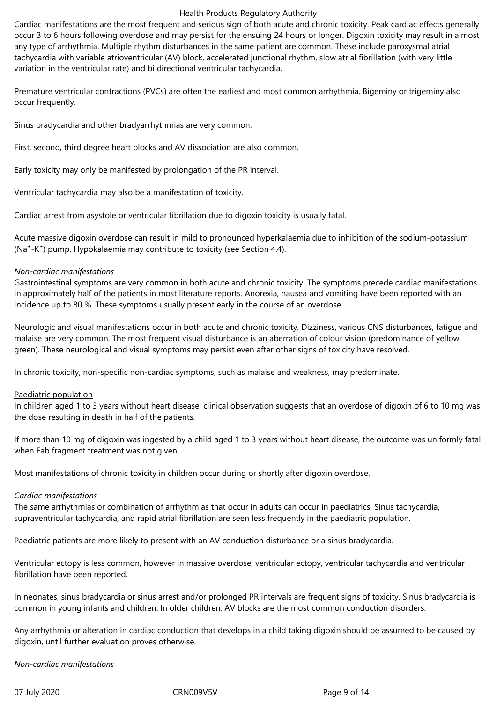Cardiac manifestations are the most frequent and serious sign of both acute and chronic toxicity. Peak cardiac effects generally occur 3 to 6 hours following overdose and may persist for the ensuing 24 hours or longer. Digoxin toxicity may result in almost any type of arrhythmia. Multiple rhythm disturbances in the same patient are common. These include paroxysmal atrial tachycardia with variable atrioventricular (AV) block, accelerated junctional rhythm, slow atrial fibrillation (with very little variation in the ventricular rate) and bi directional ventricular tachycardia.

Premature ventricular contractions (PVCs) are often the earliest and most common arrhythmia. Bigeminy or trigeminy also occur frequently.

Sinus bradycardia and other bradyarrhythmias are very common.

First, second, third degree heart blocks and AV dissociation are also common.

Early toxicity may only be manifested by prolongation of the PR interval.

Ventricular tachycardia may also be a manifestation of toxicity.

Cardiac arrest from asystole or ventricular fibrillation due to digoxin toxicity is usually fatal.

Acute massive digoxin overdose can result in mild to pronounced hyperkalaemia due to inhibition of the sodium-potassium (Na<sup>+</sup>-K<sup>+</sup>) pump. Hypokalaemia may contribute to toxicity (see Section 4.4).

## *Non-cardiac manifestations*

Gastrointestinal symptoms are very common in both acute and chronic toxicity. The symptoms precede cardiac manifestations in approximately half of the patients in most literature reports. Anorexia, nausea and vomiting have been reported with an incidence up to 80 %. These symptoms usually present early in the course of an overdose.

Neurologic and visual manifestations occur in both acute and chronic toxicity. Dizziness, various CNS disturbances, fatigue and malaise are very common. The most frequent visual disturbance is an aberration of colour vision (predominance of yellow green). These neurological and visual symptoms may persist even after other signs of toxicity have resolved.

In chronic toxicity, non-specific non-cardiac symptoms, such as malaise and weakness, may predominate.

#### Paediatric population

In children aged 1 to 3 years without heart disease, clinical observation suggests that an overdose of digoxin of 6 to 10 mg was the dose resulting in death in half of the patients.

If more than 10 mg of digoxin was ingested by a child aged 1 to 3 years without heart disease, the outcome was uniformly fatal when Fab fragment treatment was not given.

Most manifestations of chronic toxicity in children occur during or shortly after digoxin overdose.

#### *Cardiac manifestations*

The same arrhythmias or combination of arrhythmias that occur in adults can occur in paediatrics. Sinus tachycardia, supraventricular tachycardia, and rapid atrial fibrillation are seen less frequently in the paediatric population.

Paediatric patients are more likely to present with an AV conduction disturbance or a sinus bradycardia.

Ventricular ectopy is less common, however in massive overdose, ventricular ectopy, ventricular tachycardia and ventricular fibrillation have been reported.

In neonates, sinus bradycardia or sinus arrest and/or prolonged PR intervals are frequent signs of toxicity. Sinus bradycardia is common in young infants and children. In older children, AV blocks are the most common conduction disorders.

Any arrhythmia or alteration in cardiac conduction that develops in a child taking digoxin should be assumed to be caused by digoxin, until further evaluation proves otherwise.

*Non-cardiac manifestations*

07 July 2020 **CRN009V5V** CRN009V5V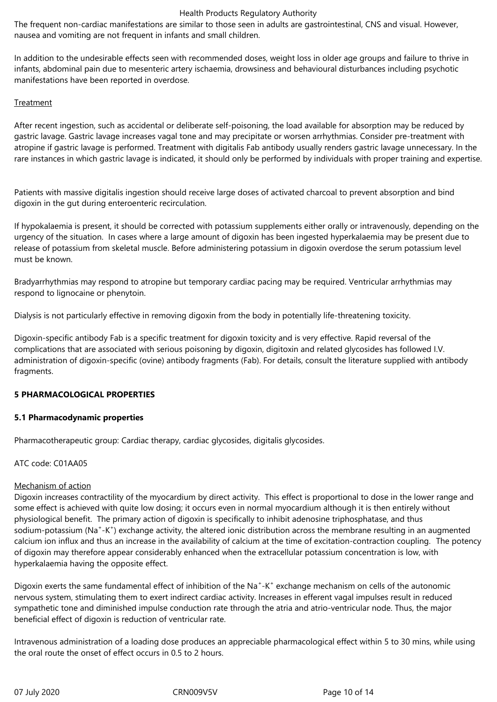The frequent non-cardiac manifestations are similar to those seen in adults are gastrointestinal, CNS and visual. However, nausea and vomiting are not frequent in infants and small children.

In addition to the undesirable effects seen with recommended doses, weight loss in older age groups and failure to thrive in infants, abdominal pain due to mesenteric artery ischaemia, drowsiness and behavioural disturbances including psychotic manifestations have been reported in overdose.

#### Treatment

After recent ingestion, such as accidental or deliberate self-poisoning, the load available for absorption may be reduced by gastric lavage. Gastric lavage increases vagal tone and may precipitate or worsen arrhythmias. Consider pre-treatment with atropine if gastric lavage is performed. Treatment with digitalis Fab antibody usually renders gastric lavage unnecessary. In the rare instances in which gastric lavage is indicated, it should only be performed by individuals with proper training and expertise.

Patients with massive digitalis ingestion should receive large doses of activated charcoal to prevent absorption and bind digoxin in the gut during enteroenteric recirculation.

If hypokalaemia is present, it should be corrected with potassium supplements either orally or intravenously, depending on the urgency of the situation. In cases where a large amount of digoxin has been ingested hyperkalaemia may be present due to release of potassium from skeletal muscle. Before administering potassium in digoxin overdose the serum potassium level must be known.

Bradyarrhythmias may respond to atropine but temporary cardiac pacing may be required. Ventricular arrhythmias may respond to lignocaine or phenytoin.

Dialysis is not particularly effective in removing digoxin from the body in potentially life-threatening toxicity.

Digoxin-specific antibody Fab is a specific treatment for digoxin toxicity and is very effective. Rapid reversal of the complications that are associated with serious poisoning by digoxin, digitoxin and related glycosides has followed I.V. administration of digoxin-specific (ovine) antibody fragments (Fab). For details, consult the literature supplied with antibody fragments.

#### **5 PHARMACOLOGICAL PROPERTIES**

#### **5.1 Pharmacodynamic properties**

Pharmacotherapeutic group: Cardiac therapy, cardiac glycosides, digitalis glycosides.

#### ATC code: C01AA05

#### Mechanism of action

Digoxin increases contractility of the myocardium by direct activity. This effect is proportional to dose in the lower range and some effect is achieved with quite low dosing; it occurs even in normal myocardium although it is then entirely without physiological benefit. The primary action of digoxin is specifically to inhibit adenosine triphosphatase, and thus sodium-potassium (Na<sup>+</sup>-K<sup>+</sup>) exchange activity, the altered ionic distribution across the membrane resulting in an augmented calcium ion influx and thus an increase in the availability of calcium at the time of excitation-contraction coupling. The potency of digoxin may therefore appear considerably enhanced when the extracellular potassium concentration is low, with hyperkalaemia having the opposite effect.

Digoxin exerts the same fundamental effect of inhibition of the Na<sup>+</sup>-K<sup>+</sup> exchange mechanism on cells of the autonomic nervous system, stimulating them to exert indirect cardiac activity. Increases in efferent vagal impulses result in reduced sympathetic tone and diminished impulse conduction rate through the atria and atrio-ventricular node. Thus, the major beneficial effect of digoxin is reduction of ventricular rate.

Intravenous administration of a loading dose produces an appreciable pharmacological effect within 5 to 30 mins, while using the oral route the onset of effect occurs in 0.5 to 2 hours.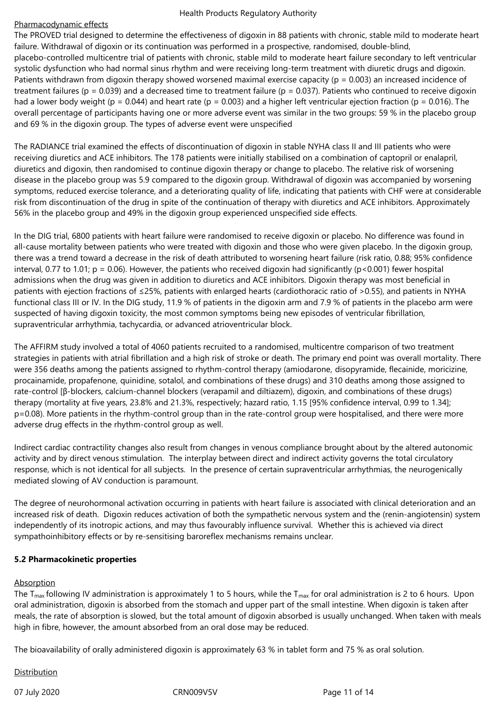## Pharmacodynamic effects

The PROVED trial designed to determine the effectiveness of digoxin in 88 patients with chronic, stable mild to moderate heart failure. Withdrawal of digoxin or its continuation was performed in a prospective, randomised, double-blind, placebo-controlled multicentre trial of patients with chronic, stable mild to moderate heart failure secondary to left ventricular systolic dysfunction who had normal sinus rhythm and were receiving long-term treatment with diuretic drugs and digoxin. Patients withdrawn from digoxin therapy showed worsened maximal exercise capacity ( $p = 0.003$ ) an increased incidence of treatment failures ( $p = 0.039$ ) and a decreased time to treatment failure ( $p = 0.037$ ). Patients who continued to receive digoxin had a lower body weight (p = 0.044) and heart rate (p = 0.003) and a higher left ventricular ejection fraction (p = 0.016). The overall percentage of participants having one or more adverse event was similar in the two groups: 59 % in the placebo group and 69 % in the digoxin group. The types of adverse event were unspecified

The RADIANCE trial examined the effects of discontinuation of digoxin in stable NYHA class II and III patients who were receiving diuretics and ACE inhibitors. The 178 patients were initially stabilised on a combination of captopril or enalapril, diuretics and digoxin, then randomised to continue digoxin therapy or change to placebo. The relative risk of worsening disease in the placebo group was 5.9 compared to the digoxin group. Withdrawal of digoxin was accompanied by worsening symptoms, reduced exercise tolerance, and a deteriorating quality of life, indicating that patients with CHF were at considerable risk from discontinuation of the drug in spite of the continuation of therapy with diuretics and ACE inhibitors. Approximately 56% in the placebo group and 49% in the digoxin group experienced unspecified side effects.

In the DIG trial, 6800 patients with heart failure were randomised to receive digoxin or placebo. No difference was found in all-cause mortality between patients who were treated with digoxin and those who were given placebo. In the digoxin group, there was a trend toward a decrease in the risk of death attributed to worsening heart failure (risk ratio, 0.88; 95% confidence interval, 0.77 to 1.01;  $p = 0.06$ ). However, the patients who received digoxin had significantly ( $p < 0.001$ ) fewer hospital admissions when the drug was given in addition to diuretics and ACE inhibitors. Digoxin therapy was most beneficial in patients with ejection fractions of ≤25%, patients with enlarged hearts (cardiothoracic ratio of >0.55), and patients in NYHA functional class III or IV. In the DIG study, 11.9 % of patients in the digoxin arm and 7.9 % of patients in the placebo arm were suspected of having digoxin toxicity, the most common symptoms being new episodes of ventricular fibrillation, supraventricular arrhythmia, tachycardia, or advanced atrioventricular block.

The AFFIRM study involved a total of 4060 patients recruited to a randomised, multicentre comparison of two treatment strategies in patients with atrial fibrillation and a high risk of stroke or death. The primary end point was overall mortality. There were 356 deaths among the patients assigned to rhythm-control therapy (amiodarone, disopyramide, flecainide, moricizine, procainamide, propafenone, quinidine, sotalol, and combinations of these drugs) and 310 deaths among those assigned to rate-control [β-blockers, calcium-channel blockers (verapamil and diltiazem), digoxin, and combinations of these drugs) therapy (mortality at five years, 23.8% and 21.3%, respectively; hazard ratio, 1.15 [95% confidence interval, 0.99 to 1.34]; p=0.08). More patients in the rhythm-control group than in the rate-control group were hospitalised, and there were more adverse drug effects in the rhythm-control group as well.

Indirect cardiac contractility changes also result from changes in venous compliance brought about by the altered autonomic activity and by direct venous stimulation. The interplay between direct and indirect activity governs the total circulatory response, which is not identical for all subjects. In the presence of certain supraventricular arrhythmias, the neurogenically mediated slowing of AV conduction is paramount.

The degree of neurohormonal activation occurring in patients with heart failure is associated with clinical deterioration and an increased risk of death. Digoxin reduces activation of both the sympathetic nervous system and the (renin-angiotensin) system independently of its inotropic actions, and may thus favourably influence survival. Whether this is achieved via direct sympathoinhibitory effects or by re-sensitising baroreflex mechanisms remains unclear.

## **5.2 Pharmacokinetic properties**

## Absorption

The T<sub>max</sub> following IV administration is approximately 1 to 5 hours, while the T<sub>max</sub> for oral administration is 2 to 6 hours. Upon oral administration, digoxin is absorbed from the stomach and upper part of the small intestine. When digoxin is taken after meals, the rate of absorption is slowed, but the total amount of digoxin absorbed is usually unchanged. When taken with meals high in fibre, however, the amount absorbed from an oral dose may be reduced.

The bioavailability of orally administered digoxin is approximately 63 % in tablet form and 75 % as oral solution.

## **Distribution**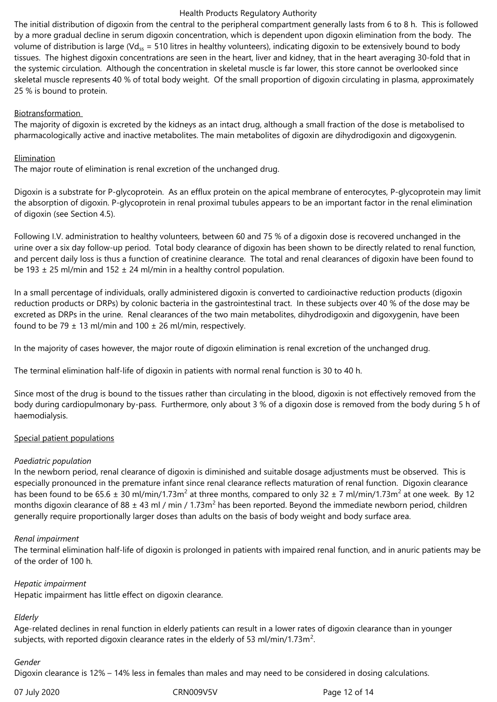The initial distribution of digoxin from the central to the peripheral compartment generally lasts from 6 to 8 h. This is followed by a more gradual decline in serum digoxin concentration, which is dependent upon digoxin elimination from the body. The volume of distribution is large (Vd<sub>ss</sub> = 510 litres in healthy volunteers), indicating digoxin to be extensively bound to body tissues. The highest digoxin concentrations are seen in the heart, liver and kidney, that in the heart averaging 30-fold that in the systemic circulation. Although the concentration in skeletal muscle is far lower, this store cannot be overlooked since skeletal muscle represents 40 % of total body weight. Of the small proportion of digoxin circulating in plasma, approximately 25 % is bound to protein.

#### Biotransformation

The majority of digoxin is excreted by the kidneys as an intact drug, although a small fraction of the dose is metabolised to pharmacologically active and inactive metabolites. The main metabolites of digoxin are dihydrodigoxin and digoxygenin.

## **Elimination**

The major route of elimination is renal excretion of the unchanged drug.

Digoxin is a substrate for P-glycoprotein. As an efflux protein on the apical membrane of enterocytes, P-glycoprotein may limit the absorption of digoxin. P-glycoprotein in renal proximal tubules appears to be an important factor in the renal elimination of digoxin (see Section 4.5).

Following I.V. administration to healthy volunteers, between 60 and 75 % of a digoxin dose is recovered unchanged in the urine over a six day follow-up period. Total body clearance of digoxin has been shown to be directly related to renal function, and percent daily loss is thus a function of creatinine clearance. The total and renal clearances of digoxin have been found to be 193  $\pm$  25 ml/min and 152  $\pm$  24 ml/min in a healthy control population.

In a small percentage of individuals, orally administered digoxin is converted to cardioinactive reduction products (digoxin reduction products or DRPs) by colonic bacteria in the gastrointestinal tract. In these subjects over 40 % of the dose may be excreted as DRPs in the urine. Renal clearances of the two main metabolites, dihydrodigoxin and digoxygenin, have been found to be 79  $\pm$  13 ml/min and 100  $\pm$  26 ml/min, respectively.

In the majority of cases however, the major route of digoxin elimination is renal excretion of the unchanged drug.

The terminal elimination half-life of digoxin in patients with normal renal function is 30 to 40 h.

Since most of the drug is bound to the tissues rather than circulating in the blood, digoxin is not effectively removed from the body during cardiopulmonary by-pass. Furthermore, only about 3 % of a digoxin dose is removed from the body during 5 h of haemodialysis.

#### Special patient populations

#### *Paediatric population*

In the newborn period, renal clearance of digoxin is diminished and suitable dosage adjustments must be observed. This is especially pronounced in the premature infant since renal clearance reflects maturation of renal function. Digoxin clearance has been found to be 65.6  $\pm$  30 ml/min/1.73m<sup>2</sup> at three months, compared to only 32  $\pm$  7 ml/min/1.73m<sup>2</sup> at one week. By 12 months digoxin clearance of 88  $\pm$  43 ml / min / 1.73m<sup>2</sup> has been reported. Beyond the immediate newborn period, children generally require proportionally larger doses than adults on the basis of body weight and body surface area.

#### *Renal impairment*

The terminal elimination half-life of digoxin is prolonged in patients with impaired renal function, and in anuric patients may be of the order of 100 h.

#### *Hepatic impairment*

Hepatic impairment has little effect on digoxin clearance.

# *Elderly*

Age-related declines in renal function in elderly patients can result in a lower rates of digoxin clearance than in younger subjects, with reported digoxin clearance rates in the elderly of 53 ml/min/1.73m<sup>2</sup>.

#### *Gender*

Digoxin clearance is 12% – 14% less in females than males and may need to be considered in dosing calculations.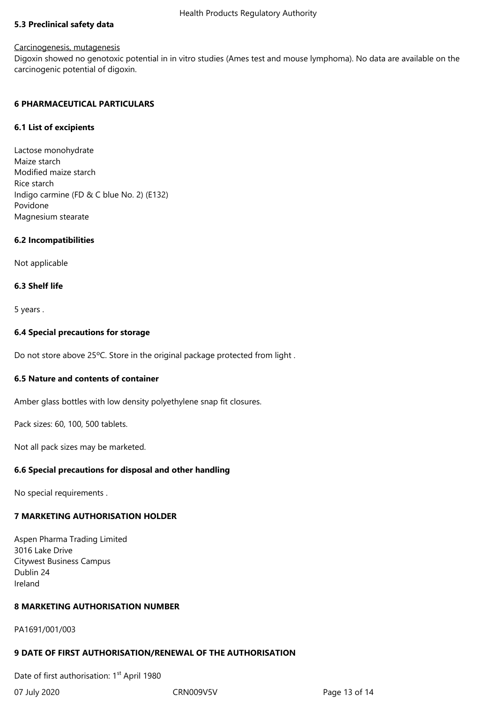#### **5.3 Preclinical safety data**

#### Carcinogenesis, mutagenesis

Digoxin showed no genotoxic potential in in vitro studies (Ames test and mouse lymphoma). No data are available on the carcinogenic potential of digoxin.

#### **6 PHARMACEUTICAL PARTICULARS**

#### **6.1 List of excipients**

Lactose monohydrate Maize starch Modified maize starch Rice starch Indigo carmine (FD & C blue No. 2) (E132) Povidone Magnesium stearate

## **6.2 Incompatibilities**

Not applicable

#### **6.3 Shelf life**

5 years .

#### **6.4 Special precautions for storage**

Do not store above 25°C. Store in the original package protected from light.

## **6.5 Nature and contents of container**

Amber glass bottles with low density polyethylene snap fit closures.

Pack sizes: 60, 100, 500 tablets.

Not all pack sizes may be marketed.

## **6.6 Special precautions for disposal and other handling**

No special requirements .

## **7 MARKETING AUTHORISATION HOLDER**

Aspen Pharma Trading Limited 3016 Lake Drive Citywest Business Campus Dublin 24 Ireland

## **8 MARKETING AUTHORISATION NUMBER**

PA1691/001/003

#### **9 DATE OF FIRST AUTHORISATION/RENEWAL OF THE AUTHORISATION**

Date of first authorisation: 1<sup>st</sup> April 1980